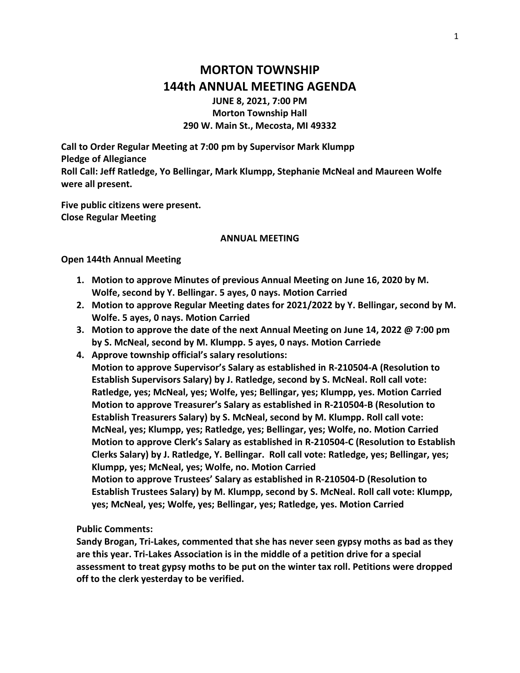# **MORTON TOWNSHIP 144th ANNUAL MEETING AGENDA**

**JUNE 8, 2021, 7:00 PM Morton Township Hall 290 W. Main St., Mecosta, MI 49332**

**Call to Order Regular Meeting at 7:00 pm by Supervisor Mark Klumpp Pledge of Allegiance Roll Call: Jeff Ratledge, Yo Bellingar, Mark Klumpp, Stephanie McNeal and Maureen Wolfe were all present.**

**Five public citizens were present. Close Regular Meeting**

### **ANNUAL MEETING**

**Open 144th Annual Meeting** 

- **1. Motion to approve Minutes of previous Annual Meeting on June 16, 2020 by M. Wolfe, second by Y. Bellingar. 5 ayes, 0 nays. Motion Carried**
- **2. Motion to approve Regular Meeting dates for 2021/2022 by Y. Bellingar, second by M. Wolfe. 5 ayes, 0 nays. Motion Carried**
- **3. Motion to approve the date of the next Annual Meeting on June 14, 2022 @ 7:00 pm by S. McNeal, second by M. Klumpp. 5 ayes, 0 nays. Motion Carriede**
- **4. Approve township official's salary resolutions: Motion to approve Supervisor's Salary as established in R-210504-A (Resolution to Establish Supervisors Salary) by J. Ratledge, second by S. McNeal. Roll call vote: Ratledge, yes; McNeal, yes; Wolfe, yes; Bellingar, yes; Klumpp, yes. Motion Carried Motion to approve Treasurer's Salary as established in R-210504-B (Resolution to Establish Treasurers Salary) by S. McNeal, second by M. Klumpp. Roll call vote: McNeal, yes; Klumpp, yes; Ratledge, yes; Bellingar, yes; Wolfe, no. Motion Carried Motion to approve Clerk's Salary as established in R-210504-C (Resolution to Establish Clerks Salary) by J. Ratledge, Y. Bellingar. Roll call vote: Ratledge, yes; Bellingar, yes; Klumpp, yes; McNeal, yes; Wolfe, no. Motion Carried Motion to approve Trustees' Salary as established in R-210504-D (Resolution to Establish Trustees Salary) by M. Klumpp, second by S. McNeal. Roll call vote: Klumpp, yes; McNeal, yes; Wolfe, yes; Bellingar, yes; Ratledge, yes. Motion Carried**

**Public Comments:** 

**Sandy Brogan, Tri-Lakes, commented that she has never seen gypsy moths as bad as they are this year. Tri-Lakes Association is in the middle of a petition drive for a special assessment to treat gypsy moths to be put on the winter tax roll. Petitions were dropped off to the clerk yesterday to be verified.**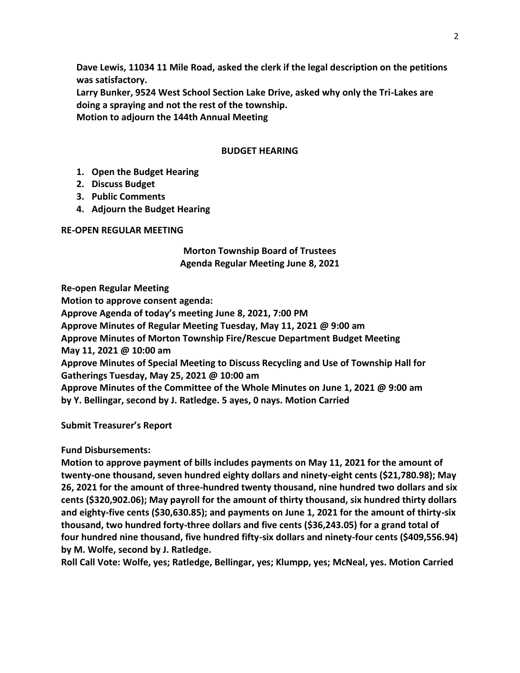**Dave Lewis, 11034 11 Mile Road, asked the clerk if the legal description on the petitions was satisfactory.**

**Larry Bunker, 9524 West School Section Lake Drive, asked why only the Tri-Lakes are doing a spraying and not the rest of the township. Motion to adjourn the 144th Annual Meeting**

### **BUDGET HEARING**

- **1. Open the Budget Hearing**
- **2. Discuss Budget**
- **3. Public Comments**
- **4. Adjourn the Budget Hearing**

#### **RE-OPEN REGULAR MEETING**

# **Morton Township Board of Trustees Agenda Regular Meeting June 8, 2021**

**Re-open Regular Meeting Motion to approve consent agenda: Approve Agenda of today's meeting June 8, 2021, 7:00 PM Approve Minutes of Regular Meeting Tuesday, May 11, 2021 @ 9:00 am Approve Minutes of Morton Township Fire/Rescue Department Budget Meeting May 11, 2021 @ 10:00 am Approve Minutes of Special Meeting to Discuss Recycling and Use of Township Hall for Gatherings Tuesday, May 25, 2021 @ 10:00 am Approve Minutes of the Committee of the Whole Minutes on June 1, 2021 @ 9:00 am by Y. Bellingar, second by J. Ratledge. 5 ayes, 0 nays. Motion Carried**

**Submit Treasurer's Report**

## **Fund Disbursements:**

**Motion to approve payment of bills includes payments on May 11, 2021 for the amount of twenty-one thousand, seven hundred eighty dollars and ninety-eight cents (\$21,780.98); May 26, 2021 for the amount of three-hundred twenty thousand, nine hundred two dollars and six cents (\$320,902.06); May payroll for the amount of thirty thousand, six hundred thirty dollars and eighty-five cents (\$30,630.85); and payments on June 1, 2021 for the amount of thirty-six thousand, two hundred forty-three dollars and five cents (\$36,243.05) for a grand total of four hundred nine thousand, five hundred fifty-six dollars and ninety-four cents (\$409,556.94) by M. Wolfe, second by J. Ratledge.** 

**Roll Call Vote: Wolfe, yes; Ratledge, Bellingar, yes; Klumpp, yes; McNeal, yes. Motion Carried**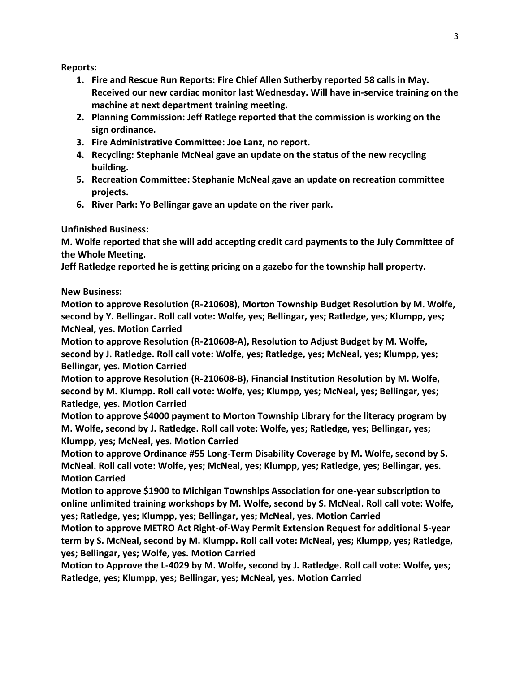**Reports:**

- **1. Fire and Rescue Run Reports: Fire Chief Allen Sutherby reported 58 calls in May. Received our new cardiac monitor last Wednesday. Will have in-service training on the machine at next department training meeting.**
- **2. Planning Commission: Jeff Ratlege reported that the commission is working on the sign ordinance.**
- **3. Fire Administrative Committee: Joe Lanz, no report.**
- **4. Recycling: Stephanie McNeal gave an update on the status of the new recycling building.**
- **5. Recreation Committee: Stephanie McNeal gave an update on recreation committee projects.**
- **6. River Park: Yo Bellingar gave an update on the river park.**

**Unfinished Business:**

**M. Wolfe reported that she will add accepting credit card payments to the July Committee of the Whole Meeting.** 

**Jeff Ratledge reported he is getting pricing on a gazebo for the township hall property.**

**New Business:** 

**Motion to approve Resolution (R-210608), Morton Township Budget Resolution by M. Wolfe, second by Y. Bellingar. Roll call vote: Wolfe, yes; Bellingar, yes; Ratledge, yes; Klumpp, yes; McNeal, yes. Motion Carried**

**Motion to approve Resolution (R-210608-A), Resolution to Adjust Budget by M. Wolfe, second by J. Ratledge. Roll call vote: Wolfe, yes; Ratledge, yes; McNeal, yes; Klumpp, yes; Bellingar, yes. Motion Carried**

**Motion to approve Resolution (R-210608-B), Financial Institution Resolution by M. Wolfe, second by M. Klumpp. Roll call vote: Wolfe, yes; Klumpp, yes; McNeal, yes; Bellingar, yes; Ratledge, yes. Motion Carried**

**Motion to approve \$4000 payment to Morton Township Library for the literacy program by M. Wolfe, second by J. Ratledge. Roll call vote: Wolfe, yes; Ratledge, yes; Bellingar, yes; Klumpp, yes; McNeal, yes. Motion Carried**

**Motion to approve Ordinance #55 Long-Term Disability Coverage by M. Wolfe, second by S. McNeal. Roll call vote: Wolfe, yes; McNeal, yes; Klumpp, yes; Ratledge, yes; Bellingar, yes. Motion Carried**

**Motion to approve \$1900 to Michigan Townships Association for one-year subscription to online unlimited training workshops by M. Wolfe, second by S. McNeal. Roll call vote: Wolfe, yes; Ratledge, yes; Klumpp, yes; Bellingar, yes; McNeal, yes. Motion Carried**

**Motion to approve METRO Act Right-of-Way Permit Extension Request for additional 5-year term by S. McNeal, second by M. Klumpp. Roll call vote: McNeal, yes; Klumpp, yes; Ratledge, yes; Bellingar, yes; Wolfe, yes. Motion Carried**

**Motion to Approve the L-4029 by M. Wolfe, second by J. Ratledge. Roll call vote: Wolfe, yes; Ratledge, yes; Klumpp, yes; Bellingar, yes; McNeal, yes. Motion Carried**